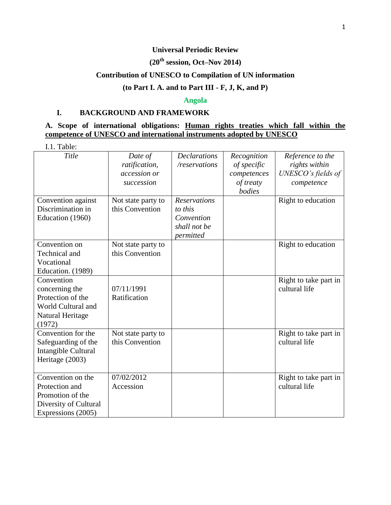### **Universal Periodic Review**

# **(20th session, Oct–Nov 2014)**

# **Contribution of UNESCO to Compilation of UN information**

# **(to Part I. A. and to Part III - F, J, K, and P)**

#### **Angola**

#### **I. BACKGROUND AND FRAMEWORK**

### **A. Scope of international obligations: Human rights treaties which fall within the competence of UNESCO and international instruments adopted by UNESCO**

| I.1. Table:                                                                                            |                                                        |                                                                           |                                                                  |                                                                       |
|--------------------------------------------------------------------------------------------------------|--------------------------------------------------------|---------------------------------------------------------------------------|------------------------------------------------------------------|-----------------------------------------------------------------------|
| Title                                                                                                  | Date of<br>ratification,<br>accession or<br>succession | <b>Declarations</b><br>/reservations                                      | Recognition<br>of specific<br>competences<br>of treaty<br>bodies | Reference to the<br>rights within<br>UNESCO's fields of<br>competence |
| Convention against<br>Discrimination in<br>Education (1960)                                            | Not state party to<br>this Convention                  | <b>Reservations</b><br>to this<br>Convention<br>shall not be<br>permitted |                                                                  | Right to education                                                    |
| Convention on<br>Technical and<br>Vocational<br>Education. (1989)                                      | Not state party to<br>this Convention                  |                                                                           |                                                                  | Right to education                                                    |
| Convention<br>concerning the<br>Protection of the<br>World Cultural and<br>Natural Heritage<br>(1972)  | 07/11/1991<br>Ratification                             |                                                                           |                                                                  | Right to take part in<br>cultural life                                |
| Convention for the<br>Safeguarding of the<br>Intangible Cultural<br>Heritage (2003)                    | Not state party to<br>this Convention                  |                                                                           |                                                                  | Right to take part in<br>cultural life                                |
| Convention on the<br>Protection and<br>Promotion of the<br>Diversity of Cultural<br>Expressions (2005) | 07/02/2012<br>Accession                                |                                                                           |                                                                  | Right to take part in<br>cultural life                                |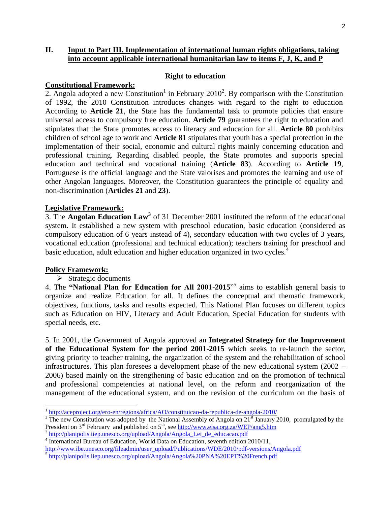### **II. Input to Part III. Implementation of international human rights obligations, taking into account applicable international humanitarian law to items F, J, K, and P**

#### **Right to education**

#### **Constitutional Framework:**

2. Angola adopted a new Constitution<sup>1</sup> in February 2010<sup>2</sup>. By comparison with the Constitution of 1992, the 2010 Constitution introduces changes with regard to the right to education According to **Article 21**, the State has the fundamental task to promote policies that ensure universal access to compulsory free education. **Article 79** guarantees the right to education and stipulates that the State promotes access to literacy and education for all. **Article 80** prohibits children of school age to work and **Article 81** stipulates that youth has a special protection in the implementation of their social, economic and cultural rights mainly concerning education and professional training. Regarding disabled people, the State promotes and supports special education and technical and vocational training (**Article 83**). According to **Article 19**, Portuguese is the official language and the State valorises and promotes the learning and use of other Angolan languages. Moreover, the Constitution guarantees the principle of equality and non-discrimination (**Articles 21** and **23**).

#### **Legislative Framework:**

3. The **Angolan Education Law<sup>3</sup>** of 31 December 2001 instituted the reform of the educational system. It established a new system with preschool education, basic education (considered as compulsory education of 6 years instead of 4), secondary education with two cycles of 3 years, vocational education (professional and technical education); teachers training for preschool and basic education, adult education and higher education organized in two cycles.<sup>4</sup>

#### **Policy Framework:**

 $\overline{\phantom{a}}$ 

#### $\triangleright$  Strategic documents

4. The **"National Plan for Education for All 2001-2015**" 5 aims to establish general basis to organize and realize Education for all. It defines the conceptual and thematic framework, objectives, functions, tasks and results expected. This National Plan focuses on different topics such as Education on HIV, Literacy and Adult Education, Special Education for students with special needs, etc.

5. In 2001, the Government of Angola approved an **Integrated Strategy for the Improvement of the Educational System for the period 2001-2015** which seeks to re-launch the sector, giving priority to teacher training, the organization of the system and the rehabilitation of school infrastructures. This plan foresees a development phase of the new educational system (2002 – 2006) based mainly on the strengthening of basic education and on the promotion of technical and professional competencies at national level, on the reform and reorganization of the management of the educational system, and on the revision of the curriculum on the basis of

<sup>&</sup>lt;sup>1</sup> <http://aceproject.org/ero-en/regions/africa/AO/constituicao-da-republica-de-angola-2010/>

<sup>&</sup>lt;sup>2</sup> The new Constitution was adopted by the National Assembly of Angola on  $21^{st}$  January 2010, promulgated by the President on 3<sup>rd</sup> February and published on 5<sup>th</sup>, see<http://www.eisa.org.za/WEP/ang5.htm>

<sup>&</sup>lt;sup>3</sup> http://planipolis.iiep.unesco.org/upload/Angola/Angola Lei de educacao.pdf

<sup>4</sup> International Bureau of Education, World Data on Education, seventh edition 2010/11,

[http://www.ibe.unesco.org/fileadmin/user\\_upload/Publications/WDE/2010/pdf-versions/Angola.pdf](http://www.ibe.unesco.org/fileadmin/user_upload/Publications/WDE/2010/pdf-versions/Angola.pdf)

<sup>5</sup> <http://planipolis.iiep.unesco.org/upload/Angola/Angola%20PNA%20EPT%20French.pdf>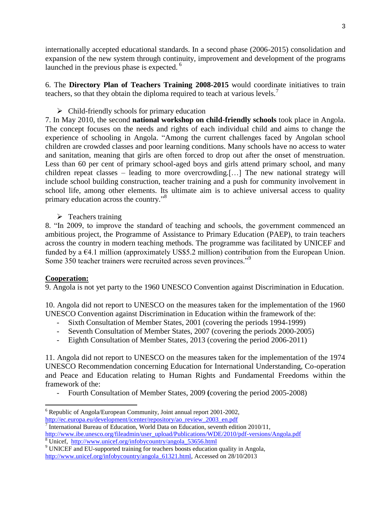internationally accepted educational standards. In a second phase (2006-2015) consolidation and expansion of the new system through continuity, improvement and development of the programs launched in the previous phase is expected.<sup>6</sup>

6. The **Directory Plan of Teachers Training 2008-2015** would coordinate initiatives to train teachers, so that they obtain the diploma required to teach at various levels.<sup>7</sup>

# $\triangleright$  Child-friendly schools for primary education

7. In May 2010, the second **national workshop on child-friendly schools** took place in Angola. The concept focuses on the needs and rights of each individual child and aims to change the experience of schooling in Angola. "Among the current challenges faced by Angolan school children are crowded classes and poor learning conditions. Many schools have no access to water and sanitation, meaning that girls are often forced to drop out after the onset of menstruation. Less than 60 per cent of primary school-aged boys and girls attend primary school, and many children repeat classes – leading to more overcrowding.[…] The new national strategy will include school building construction, teacher training and a push for community involvement in school life, among other elements. Its ultimate aim is to achieve universal access to quality primary education across the country."<sup>8</sup>

 $\triangleright$  Teachers training

8. "In 2009, to improve the standard of teaching and schools, the government commenced an ambitious project, the Programme of Assistance to Primary Education (PAEP), to train teachers across the country in modern teaching methods. The programme was facilitated by UNICEF and funded by a  $64.1$  million (approximately US\$5.2 million) contribution from the European Union. Some 350 teacher trainers were recruited across seven provinces."<sup>9</sup>

# **Cooperation:**

9. Angola is not yet party to the 1960 UNESCO Convention against Discrimination in Education.

10. Angola did not report to UNESCO on the measures taken for the implementation of the 1960 UNESCO Convention against Discrimination in Education within the framework of the:

- Sixth Consultation of Member States, 2001 (covering the periods 1994-1999)
- Seventh Consultation of Member States, 2007 (covering the periods 2000-2005)
- Eighth Consultation of Member States, 2013 (covering the period 2006-2011)

11. Angola did not report to UNESCO on the measures taken for the implementation of the 1974 UNESCO Recommendation concerning Education for International Understanding, Co-operation and Peace and Education relating to Human Rights and Fundamental Freedoms within the framework of the:

- Fourth Consultation of Member States, 2009 **(**covering the period 2005-2008)

 $\overline{\phantom{a}}$ <sup>6</sup> Republic of Angola/European Community, Joint annual report 2001-2002, [http://ec.europa.eu/development/icenter/repository/ao\\_review\\_2003\\_en.pdf](http://ec.europa.eu/development/icenter/repository/ao_review_2003_en.pdf)

<sup>7</sup> International Bureau of Education, World Data on Education, seventh edition 2010/11, [http://www.ibe.unesco.org/fileadmin/user\\_upload/Publications/WDE/2010/pdf-versions/Angola.pdf](http://www.ibe.unesco.org/fileadmin/user_upload/Publications/WDE/2010/pdf-versions/Angola.pdf) <sup>8</sup> Unicef, [http://www.unicef.org/infobycountry/angola\\_53656.html](http://www.unicef.org/infobycountry/angola_53656.html)

<sup>&</sup>lt;sup>9</sup> UNICEF and EU-supported training for teachers boosts education quality in Angola, [http://www.unicef.org/infobycountry/angola\\_61321.html,](http://www.unicef.org/infobycountry/angola_61321.html) Accessed on 28/10/2013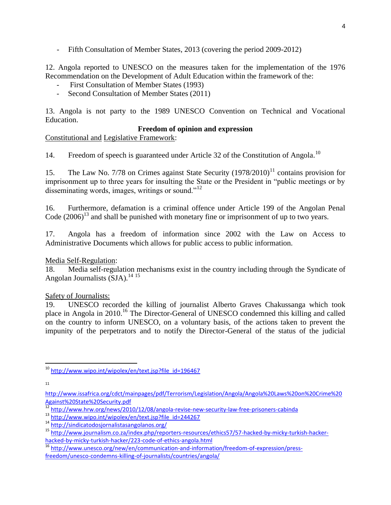Fifth Consultation of Member States, 2013 (covering the period 2009-2012)

12. Angola reported to UNESCO on the measures taken for the implementation of the 1976 Recommendation on the Development of Adult Education within the framework of the:

- First Consultation of Member States (1993)
- Second Consultation of Member States (2011)

13. Angola is not party to the 1989 UNESCO Convention on Technical and Vocational Education.

#### **Freedom of opinion and expression**

Constitutional and Legislative Framework:

14. Freedom of speech is guaranteed under Article 32 of the Constitution of Angola.<sup>10</sup>

15. The Law No. 7/78 on Crimes against State Security  $(1978/2010)^{11}$  contains provision for imprisonment up to three years for insulting the State or the President in "public meetings or by disseminating words, images, writings or sound. $12$ 

16. Furthermore, defamation is a criminal offence under Article 199 of the Angolan Penal Code  $(2006)^{13}$  and shall be punished with monetary fine or imprisonment of up to two years.

17. Angola has a freedom of information since 2002 with the Law on Access to Administrative Documents which allows for public access to public information.

#### Media Self-Regulation:

18. Media self-regulation mechanisms exist in the country including through the Syndicate of Angolan Journalists (SJA).<sup>14 15</sup>

#### Safety of Journalists:

19. UNESCO recorded the killing of journalist Alberto Graves Chakussanga which took place in Angola in 2010.<sup>16</sup> The Director-General of UNESCO condemned this killing and called on the country to inform UNESCO, on a voluntary basis, of the actions taken to prevent the impunity of the perpetrators and to notify the Director-General of the status of the judicial

11

<sup>16</sup> [http://www.unesco.org/new/en/communication-and-information/freedom-of-expression/press](http://www.unesco.org/new/en/communication-and-information/freedom-of-expression/press-freedom/unesco-condemns-killing-of-journalists/countries/angola/)[freedom/unesco-condemns-killing-of-journalists/countries/angola/](http://www.unesco.org/new/en/communication-and-information/freedom-of-expression/press-freedom/unesco-condemns-killing-of-journalists/countries/angola/)

 $\overline{\phantom{a}}$ <sup>10</sup> [http://www.wipo.int/wipolex/en/text.jsp?file\\_id=196467](http://www.wipo.int/wipolex/en/text.jsp?file_id=196467)

[http://www.issafrica.org/cdct/mainpages/pdf/Terrorism/Legislation/Angola/Angola%20Laws%20on%20Crime%20](http://www.issafrica.org/cdct/mainpages/pdf/Terrorism/Legislation/Angola/Angola%20Laws%20on%20Crime%20Against%20State%20Security.pdf) [Against%20State%20Security.pdf](http://www.issafrica.org/cdct/mainpages/pdf/Terrorism/Legislation/Angola/Angola%20Laws%20on%20Crime%20Against%20State%20Security.pdf)

<sup>&</sup>lt;sup>12</sup> <http://www.hrw.org/news/2010/12/08/angola-revise-new-security-law-free-prisoners-cabinda>

<sup>13</sup> [http://www.wipo.int/wipolex/en/text.jsp?file\\_id=244267](http://www.wipo.int/wipolex/en/text.jsp?file_id=244267)

<sup>14</sup> <http://sindicatodosjornalistasangolanos.org/>

<sup>15</sup> [http://www.journalism.co.za/index.php/reporters-resources/ethics57/57-hacked-by-micky-turkish-hacker](http://www.journalism.co.za/index.php/reporters-resources/ethics57/57-hacked-by-micky-turkish-hacker-hacked-by-micky-turkish-hacker/223-code-of-ethics-angola.html)[hacked-by-micky-turkish-hacker/223-code-of-ethics-angola.html](http://www.journalism.co.za/index.php/reporters-resources/ethics57/57-hacked-by-micky-turkish-hacker-hacked-by-micky-turkish-hacker/223-code-of-ethics-angola.html)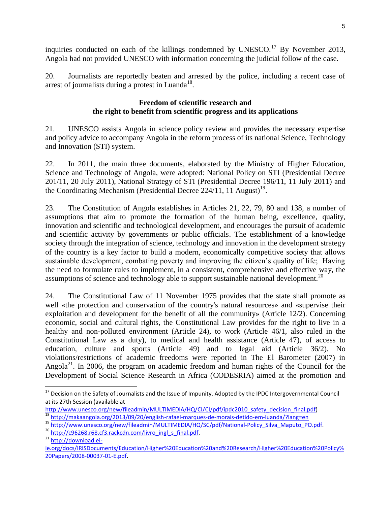inquiries conducted on each of the killings condemned by UNESCO.<sup>17</sup> By November 2013, Angola had not provided UNESCO with information concerning the judicial follow of the case.

20. Journalists are reportedly beaten and arrested by the police, including a recent case of arrest of journalists during a protest in Luanda<sup>18</sup>.

### **Freedom of scientific research and the right to benefit from scientific progress and its applications**

21. UNESCO assists Angola in science policy review and provides the necessary expertise and policy advice to accompany Angola in the reform process of its national Science, Technology and Innovation (STI) system.

22. In 2011, the main three documents, elaborated by the Ministry of Higher Education, Science and Technology of Angola, were adopted: National Policy on STI (Presidential Decree 201/11, 20 July 2011), National Strategy of STI (Presidential Decree 196/11, 11 July 2011) and the Coordinating Mechanism (Presidential Decree 224/11, 11 August)<sup>19</sup>.

23. The Constitution of Angola establishes in Articles 21, 22, 79, 80 and 138, a number of assumptions that aim to promote the formation of the human being, excellence, quality, innovation and scientific and technological development, and encourages the pursuit of academic and scientific activity by governments or public officials. The establishment of a knowledge society through the integration of science, technology and innovation in the development strategy of the country is a key factor to build a modern, economically competitive society that allows sustainable development, combating poverty and improving the citizen's quality of life; Having the need to formulate rules to implement, in a consistent, comprehensive and effective way, the assumptions of science and technology able to support sustainable national development.<sup>20</sup>

24. The Constitutional Law of 11 November 1975 provides that the state shall promote as well «the protection and conservation of the country's natural resources» and «supervise their exploitation and development for the benefit of all the community» (Article 12/2). Concerning economic, social and cultural rights, the Constitutional Law provides for the right to live in a healthy and non-polluted environment (Article 24), to work (Article 46/1, also ruled in the Constitutional Law as a duty), to medical and health assistance (Article 47), of access to education, culture and sports (Article 49) and to legal aid (Article 36/2). No violations/restrictions of academic freedoms were reported in The El Barometer (2007) in Angola<sup>21</sup>. In 2006, the program on academic freedom and human rights of the Council for the Development of Social Science Research in Africa (CODESRIA) aimed at the promotion and

l

<sup>&</sup>lt;sup>17</sup> Decision on the Safety of Journalists and the Issue of Impunity. Adopted by the IPDC Intergovernmental Council at its 27th Session (available at

[http://www.unesco.org/new/fileadmin/MULTIMEDIA/HQ/CI/CI/pdf/ipdc2010\\_safety\\_decision\\_final.pdf\)](http://www.unesco.org/new/fileadmin/MULTIMEDIA/HQ/CI/CI/pdf/ipdc2010_safety_decision_final.pdf) <sup>18</sup> <http://makaangola.org/2013/09/20/english-rafael-marques-de-morais-detido-em-luanda/?lang=en>

<sup>19</sup> [http://www.unesco.org/new/fileadmin/MULTIMEDIA/HQ/SC/pdf/National-Policy\\_Silva\\_Maputo\\_PO.pdf.](http://www.unesco.org/new/fileadmin/MULTIMEDIA/HQ/SC/pdf/National-Policy_Silva_Maputo_PO.pdf)

<sup>&</sup>lt;sup>20</sup> [http://c96268.r68.cf3.rackcdn.com/livro\\_ingl\\_s\\_final.pdf.](http://c96268.r68.cf3.rackcdn.com/livro_ingl_s_final.pdf)

<sup>21</sup> [http://download.ei-](http://download.ei-ie.org/docs/IRISDocuments/Education/Higher%20Education%20and%20Research/Higher%20Education%20Policy%20Papers/2008-00037-01-E.pdf)

[ie.org/docs/IRISDocuments/Education/Higher%20Education%20and%20Research/Higher%20Education%20Policy%](http://download.ei-ie.org/docs/IRISDocuments/Education/Higher%20Education%20and%20Research/Higher%20Education%20Policy%20Papers/2008-00037-01-E.pdf) [20Papers/2008-00037-01-E.pdf.](http://download.ei-ie.org/docs/IRISDocuments/Education/Higher%20Education%20and%20Research/Higher%20Education%20Policy%20Papers/2008-00037-01-E.pdf)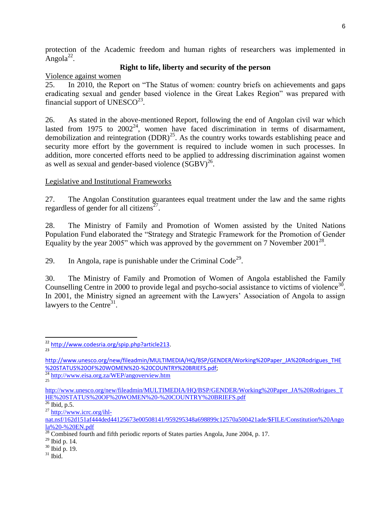protection of the Academic freedom and human rights of researchers was implemented in  $\text{Angola}^{22}$ .

### **Right to life, liberty and security of the person**

Violence against women

25. In 2010, the Report on "The Status of women: country briefs on achievements and gaps eradicating sexual and gender based violence in the Great Lakes Region" was prepared with financial support of UNESCO<sup>23</sup>.

26. As stated in the above-mentioned Report, following the end of Angolan civil war which lasted from 1975 to  $2002^{24}$ , women have faced discrimination in terms of disarmament, demobilization and reintegration  $(DDR)^{25}$ . As the country works towards establishing peace and security more effort by the government is required to include women in such processes. In addition, more concerted efforts need to be applied to addressing discrimination against women as well as sexual and gender-based violence  $(\overline{SGBV})^{26}$ .

# Legislative and Institutional Frameworks

27. The Angolan Constitution guarantees equal treatment under the law and the same rights regardless of gender for all citizens<sup> $27$ </sup>.

28. The Ministry of Family and Promotion of Women assisted by the United Nations Population Fund elaborated the "Strategy and Strategic Framework for the Promotion of Gender Equality by the year 2005" which was approved by the government on 7 November 2001<sup>28</sup>.

29. In Angola, rape is punishable under the Criminal Code<sup>29</sup>.

30. The Ministry of Family and Promotion of Women of Angola established the Family Counselling Centre in 2000 to provide legal and psycho-social assistance to victims of violence<sup>30</sup>. In 2001, the Ministry signed an agreement with the Lawyers' Association of Angola to assign lawyers to the Centre $31$ .

<sup>24</sup> <http://www.eisa.org.za/WEP/angoverview.htm> 25

<sup>27</sup> [http://www.icrc.org/ihl-](http://www.icrc.org/ihl-nat.nsf/162d151af444ded44125673e00508141/959295348a698899c12570a500421ade/$FILE/Constitution%20Angola%20-%20EN.pdf)

- <sup>29</sup> Ibid p. 14.
- <sup>30</sup> Ibid p. 19.
- $31$  Ibid.

l <sup>22</sup> [http://www.codesria.org/spip.php?article213.](http://www.codesria.org/spip.php?article213) 23

[http://www.unesco.org/new/fileadmin/MULTIMEDIA/HQ/BSP/GENDER/Working%20Paper\\_JA%20Rodrigues\\_THE](http://www.unesco.org/new/fileadmin/MULTIMEDIA/HQ/BSP/GENDER/Working%20Paper_JA%20Rodrigues_THE%20STATUS%20OF%20WOMEN%20-%20COUNTRY%20BRIEFS.pdf) [%20STATUS%20OF%20WOMEN%20-%20COUNTRY%20BRIEFS.pdf;](http://www.unesco.org/new/fileadmin/MULTIMEDIA/HQ/BSP/GENDER/Working%20Paper_JA%20Rodrigues_THE%20STATUS%20OF%20WOMEN%20-%20COUNTRY%20BRIEFS.pdf)

http://www.unesco.org/new/fileadmin/MULTIMEDIA/HO/BSP/GENDER/Working%20Paper\_JA%20Rodrigues\_T [HE%20STATUS%20OF%20WOMEN%20-%20COUNTRY%20BRIEFS.pdf](http://www.unesco.org/new/fileadmin/MULTIMEDIA/HQ/BSP/GENDER/Working%20Paper_JA%20Rodrigues_THE%20STATUS%20OF%20WOMEN%20-%20COUNTRY%20BRIEFS.pdf)

 $\frac{26}{26}$  Ibid, p.5.

[nat.nsf/162d151af444ded44125673e00508141/959295348a698899c12570a500421ade/\\$FILE/Constitution%20Ango](http://www.icrc.org/ihl-nat.nsf/162d151af444ded44125673e00508141/959295348a698899c12570a500421ade/$FILE/Constitution%20Angola%20-%20EN.pdf) [la%20-%20EN.pdf](http://www.icrc.org/ihl-nat.nsf/162d151af444ded44125673e00508141/959295348a698899c12570a500421ade/$FILE/Constitution%20Angola%20-%20EN.pdf)

 $\frac{28}{28}$  Combined fourth and fifth periodic reports of States parties Angola, June 2004, p. 17.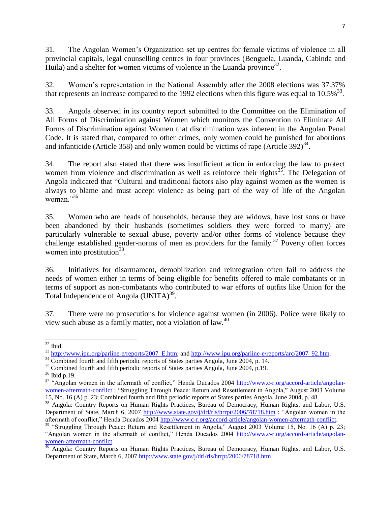31. The Angolan Women's Organization set up centres for female victims of violence in all provincial capitals, legal counselling centres in four provinces (Benguela, Luanda, Cabinda and Huila) and a shelter for women victims of violence in the Luanda province<sup>32</sup>.

32. Women's representation in the National Assembly after the 2008 elections was 37.37% that represents an increase compared to the 1992 elections when this figure was equal to  $10.5\%$ <sup>33</sup>.

33. Angola observed in its country report submitted to the Committee on the Elimination of All Forms of Discrimination against Women which monitors the Convention to Eliminate All Forms of Discrimination against Women that discrimination was inherent in the Angolan Penal Code. It is stated that, compared to other crimes, only women could be punished for abortions and infanticide (Article 358) and only women could be victims of rape (Article 392)<sup>34</sup>.

34. The report also stated that there was insufficient action in enforcing the law to protect women from violence and discrimination as well as reinforce their rights<sup>35</sup>. The Delegation of Angola indicated that "Cultural and traditional factors also play against women as the women is always to blame and must accept violence as being part of the way of life of the Angolan woman<sup> $,36$ </sup>

35. Women who are heads of households, because they are widows, have lost sons or have been abandoned by their husbands (sometimes soldiers they were forced to marry) are particularly vulnerable to sexual abuse, poverty and/or other forms of violence because they challenge established gender-norms of men as providers for the family.<sup>37</sup> Poverty often forces women into prostitution<sup>38</sup>.

36. Initiatives for disarmament, demobilization and reintegration often fail to address the needs of women either in terms of being eligible for benefits offered to male combatants or in terms of support as non-combatants who contributed to war efforts of outfits like Union for the Total Independence of Angola (UNITA)<sup>39</sup>.

37. There were no prosecutions for violence against women (in 2006). Police were likely to view such abuse as a family matter, not a violation of law.<sup>40</sup>

 $\overline{\phantom{a}}$  $32$  Ibid.

<sup>&</sup>lt;sup>33</sup> [http://www.ipu.org/parline-e/reports/2007\\_E.htm;](http://www.ipu.org/parline-e/reports/2007_E.htm) an[d http://www.ipu.org/parline-e/reports/arc/2007\\_92.htm.](http://www.ipu.org/parline-e/reports/arc/2007_92.htm)

<sup>&</sup>lt;sup>34</sup> Combined fourth and fifth periodic reports of States parties Angola, June 2004, p. 14.

<sup>&</sup>lt;sup>35</sup> Combined fourth and fifth periodic reports of States parties Angola, June 2004, p.19.

<sup>36</sup> Ibid p.19.

<sup>&</sup>lt;sup>37</sup> "Angolan women in the aftermath of conflict," Henda Ducados 2004 [http://www.c-r.org/accord-article/angolan](http://www.c-r.org/accord-article/angolan-women-aftermath-conflict)[women-aftermath-conflict](http://www.c-r.org/accord-article/angolan-women-aftermath-conflict) ; "Struggling Through Peace: Return and Resettlement in Angola," August 2003 Volume 15, No. 16 (A) p. 23; Combined fourth and fifth periodic reports of States parties Angola, June 2004, p. 48.

<sup>&</sup>lt;sup>38</sup> Angola: Country Reports on Human Rights Practices, Bureau of Democracy, Human Rights, and Labor, U.S. Department of State, March 6, 2007<http://www.state.gov/j/drl/rls/hrrpt/2006/78718.htm> ; "Angolan women in the aftermath of conflict," Henda Ducados 2004 [http://www.c-r.org/accord-article/angolan-women-aftermath-conflict.](http://www.c-r.org/accord-article/angolan-women-aftermath-conflict)

 $39$  "Struggling Through Peace: Return and Resettlement in Angola," August 2003 Volume 15, No. 16 (A) p. 23; "Angolan women in the aftermath of conflict," Henda Ducados 2004 [http://www.c-r.org/accord-article/angolan](http://www.c-r.org/accord-article/angolan-women-aftermath-conflict)[women-aftermath-conflict.](http://www.c-r.org/accord-article/angolan-women-aftermath-conflict)

<sup>&</sup>lt;sup>40</sup> Angola: Country Reports on Human Rights Practices, Bureau of Democracy, Human Rights, and Labor, U.S. Department of State, March 6, 2007<http://www.state.gov/j/drl/rls/hrrpt/2006/78718.htm>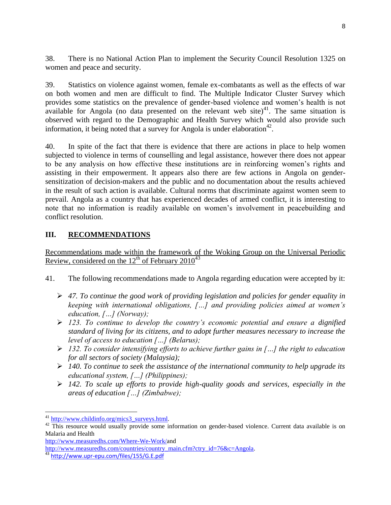38. There is no National Action Plan to implement the Security Council Resolution 1325 on women and peace and security.

39. Statistics on violence against women, female ex-combatants as well as the effects of war on both women and men are difficult to find. The Multiple Indicator Cluster Survey which provides some statistics on the prevalence of gender-based violence and women's health is not available for Angola (no data presented on the relevant web site)<sup>41</sup>. The same situation is observed with regard to the Demographic and Health Survey which would also provide such information, it being noted that a survey for Angola is under elaboration<sup>42</sup>.

40. In spite of the fact that there is evidence that there are actions in place to help women subjected to violence in terms of counselling and legal assistance, however there does not appear to be any analysis on how effective these institutions are in reinforcing women's rights and assisting in their empowerment. It appears also there are few actions in Angola on gendersensitization of decision-makers and the public and no documentation about the results achieved in the result of such action is available. Cultural norms that discriminate against women seem to prevail. Angola as a country that has experienced decades of armed conflict, it is interesting to note that no information is readily available on women's involvement in peacebuilding and conflict resolution.

# **III. RECOMMENDATIONS**

# Recommendations made within the framework of the Woking Group on the Universal Periodic Review, considered on the  $12<sup>th</sup>$  of February 2010<sup>43</sup>

- 41. The following recommendations made to Angola regarding education were accepted by it:
	- *47. To continue the good work of providing legislation and policies for gender equality in keeping with international obligations, […] and providing policies aimed at women's education, […] (Norway);*
	- *123. To continue to develop the country's economic potential and ensure a dignified standard of living for its citizens, and to adopt further measures necessary to increase the level of access to education […] (Belarus);*
	- *132. To consider intensifying efforts to achieve further gains in […] the right to education for all sectors of society (Malaysia);*
	- *140. To continue to seek the assistance of the international community to help upgrade its educational system, […] (Philippines);*
	- *142. To scale up efforts to provide high-quality goods and services, especially in the areas of education […] (Zimbabwe);*

 $\overline{\phantom{a}}$ 

<sup>&</sup>lt;sup>41</sup> [http://www.childinfo.org/mics3\\_surveys.html.](http://www.childinfo.org/mics3_surveys.html)

<sup>&</sup>lt;sup>42</sup> This resource would usually provide some information on gender-based violence. Current data available is on Malaria and Health

[http://www.measuredhs.com/Where-We-Work/a](http://www.measuredhs.com/Where-We-Work/)nd

[http://www.measuredhs.com/countries/country\\_main.cfm?ctry\\_id=76&c=Angola.](http://www.measuredhs.com/countries/country_main.cfm?ctry_id=76&c=Angola) 

<sup>43</sup> <http://www.upr-epu.com/files/155/G.E.pdf>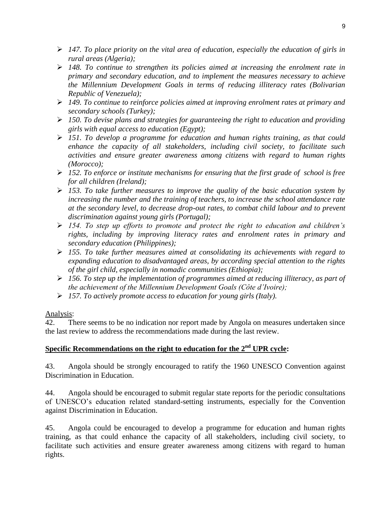- *147. To place priority on the vital area of education, especially the education of girls in rural areas (Algeria);*
- *148. To continue to strengthen its policies aimed at increasing the enrolment rate in primary and secondary education, and to implement the measures necessary to achieve the Millennium Development Goals in terms of reducing illiteracy rates (Bolivarian Republic of Venezuela);*
- *149. To continue to reinforce policies aimed at improving enrolment rates at primary and secondary schools (Turkey);*
- *150. To devise plans and strategies for guaranteeing the right to education and providing girls with equal access to education (Egypt);*
- *151. To develop a programme for education and human rights training, as that could enhance the capacity of all stakeholders, including civil society, to facilitate such activities and ensure greater awareness among citizens with regard to human rights (Morocco);*
- *152. To enforce or institute mechanisms for ensuring that the first grade of school is free for all children (Ireland);*
- *153. To take further measures to improve the quality of the basic education system by increasing the number and the training of teachers, to increase the school attendance rate at the secondary level, to decrease drop-out rates, to combat child labour and to prevent discrimination against young girls (Portugal);*
- *154. To step up efforts to promote and protect the right to education and children's rights, including by improving literacy rates and enrolment rates in primary and secondary education (Philippines);*
- *155. To take further measures aimed at consolidating its achievements with regard to expanding education to disadvantaged areas, by according special attention to the rights of the girl child, especially in nomadic communities (Ethiopia);*
- *156. To step up the implementation of programmes aimed at reducing illiteracy, as part of the achievement of the Millennium Development Goals (Côte d'Ivoire);*
- *157. To actively promote access to education for young girls (Italy).*

# Analysis:

42. There seems to be no indication nor report made by Angola on measures undertaken since the last review to address the recommendations made during the last review.

# **Specific Recommendations on the right to education for the 2nd UPR cycle:**

43. Angola should be strongly encouraged to ratify the 1960 UNESCO Convention against Discrimination in Education.

44. Angola should be encouraged to submit regular state reports for the periodic consultations of UNESCO's education related standard-setting instruments, especially for the Convention against Discrimination in Education.

45. Angola could be encouraged to develop a programme for education and human rights training, as that could enhance the capacity of all stakeholders, including civil society, to facilitate such activities and ensure greater awareness among citizens with regard to human rights.